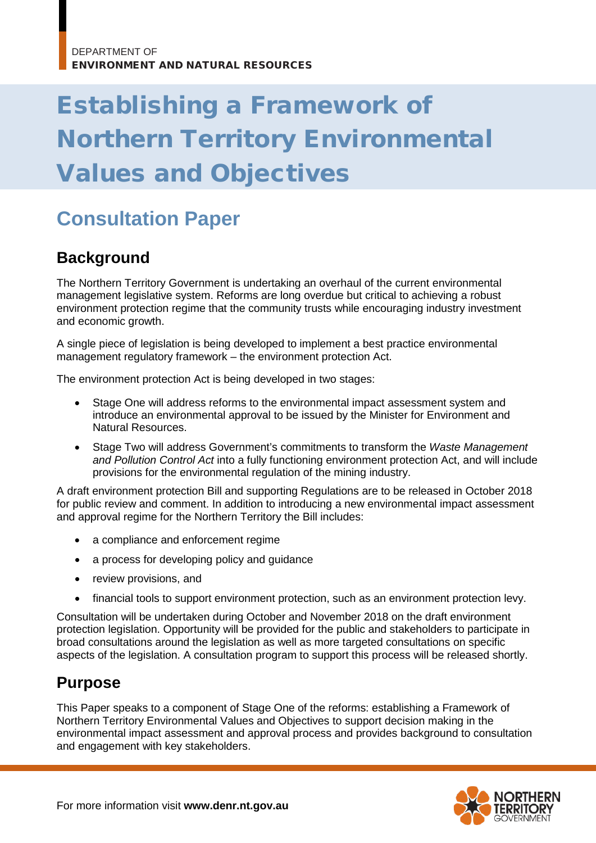# Establishing a Framework of Northern Territory Environmental Values and Objectives

## **Consultation Paper**

#### **Background**

The Northern Territory Government is undertaking an overhaul of the current environmental management legislative system. Reforms are long overdue but critical to achieving a robust environment protection regime that the community trusts while encouraging industry investment and economic growth.

A single piece of legislation is being developed to implement a best practice environmental management regulatory framework – the environment protection Act.

The environment protection Act is being developed in two stages:

- Stage One will address reforms to the environmental impact assessment system and introduce an environmental approval to be issued by the Minister for Environment and Natural Resources.
- Stage Two will address Government's commitments to transform the *Waste Management and Pollution Control Act* into a fully functioning environment protection Act, and will include provisions for the environmental regulation of the mining industry.

A draft environment protection Bill and supporting Regulations are to be released in October 2018 for public review and comment. In addition to introducing a new environmental impact assessment and approval regime for the Northern Territory the Bill includes:

- a compliance and enforcement regime
- a process for developing policy and guidance
- review provisions, and
- financial tools to support environment protection, such as an environment protection levy.

Consultation will be undertaken during October and November 2018 on the draft environment protection legislation. Opportunity will be provided for the public and stakeholders to participate in broad consultations around the legislation as well as more targeted consultations on specific aspects of the legislation. A consultation program to support this process will be released shortly.

#### **Purpose**

This Paper speaks to a component of Stage One of the reforms: establishing a Framework of Northern Territory Environmental Values and Objectives to support decision making in the environmental impact assessment and approval process and provides background to consultation and engagement with key stakeholders.

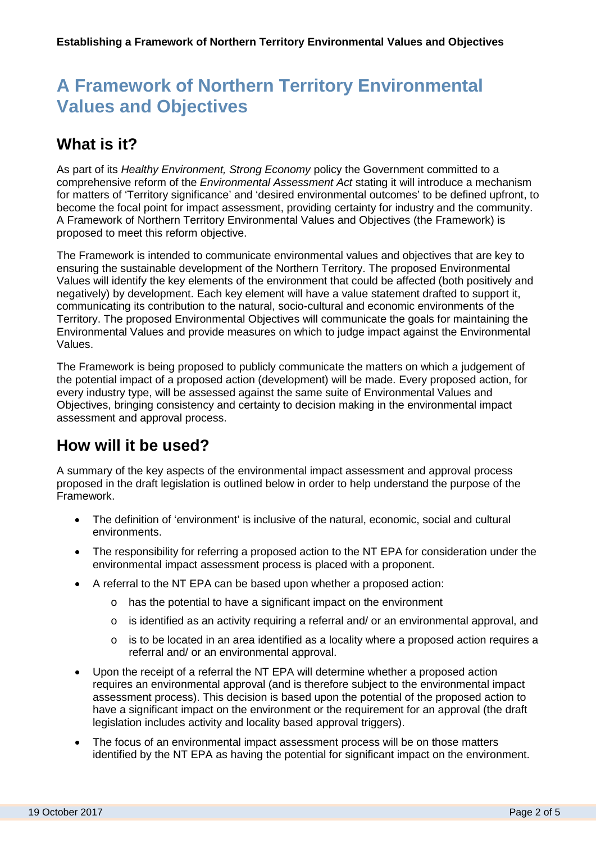## **A Framework of Northern Territory Environmental Values and Objectives**

#### **What is it?**

As part of its *Healthy Environment, Strong Economy* policy the Government committed to a comprehensive reform of the *Environmental Assessment Act* stating it will introduce a mechanism for matters of 'Territory significance' and 'desired environmental outcomes' to be defined upfront, to become the focal point for impact assessment, providing certainty for industry and the community. A Framework of Northern Territory Environmental Values and Objectives (the Framework) is proposed to meet this reform objective.

The Framework is intended to communicate environmental values and objectives that are key to ensuring the sustainable development of the Northern Territory. The proposed Environmental Values will identify the key elements of the environment that could be affected (both positively and negatively) by development. Each key element will have a value statement drafted to support it, communicating its contribution to the natural, socio-cultural and economic environments of the Territory. The proposed Environmental Objectives will communicate the goals for maintaining the Environmental Values and provide measures on which to judge impact against the Environmental Values.

The Framework is being proposed to publicly communicate the matters on which a judgement of the potential impact of a proposed action (development) will be made. Every proposed action, for every industry type, will be assessed against the same suite of Environmental Values and Objectives, bringing consistency and certainty to decision making in the environmental impact assessment and approval process.

#### **How will it be used?**

A summary of the key aspects of the environmental impact assessment and approval process proposed in the draft legislation is outlined below in order to help understand the purpose of the Framework.

- The definition of 'environment' is inclusive of the natural, economic, social and cultural environments.
- The responsibility for referring a proposed action to the NT EPA for consideration under the environmental impact assessment process is placed with a proponent.
- A referral to the NT EPA can be based upon whether a proposed action:
	- o has the potential to have a significant impact on the environment
	- o is identified as an activity requiring a referral and/ or an environmental approval, and
	- o is to be located in an area identified as a locality where a proposed action requires a referral and/ or an environmental approval.
- Upon the receipt of a referral the NT EPA will determine whether a proposed action requires an environmental approval (and is therefore subject to the environmental impact assessment process). This decision is based upon the potential of the proposed action to have a significant impact on the environment or the requirement for an approval (the draft legislation includes activity and locality based approval triggers).
- The focus of an environmental impact assessment process will be on those matters identified by the NT EPA as having the potential for significant impact on the environment.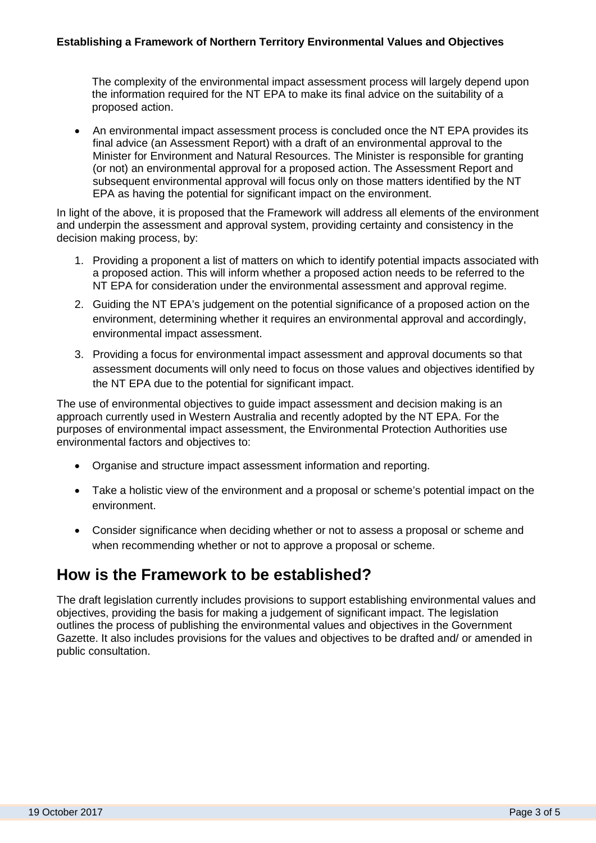The complexity of the environmental impact assessment process will largely depend upon the information required for the NT EPA to make its final advice on the suitability of a proposed action.

• An environmental impact assessment process is concluded once the NT EPA provides its final advice (an Assessment Report) with a draft of an environmental approval to the Minister for Environment and Natural Resources. The Minister is responsible for granting (or not) an environmental approval for a proposed action. The Assessment Report and subsequent environmental approval will focus only on those matters identified by the NT EPA as having the potential for significant impact on the environment.

In light of the above, it is proposed that the Framework will address all elements of the environment and underpin the assessment and approval system, providing certainty and consistency in the decision making process, by:

- 1. Providing a proponent a list of matters on which to identify potential impacts associated with a proposed action. This will inform whether a proposed action needs to be referred to the NT EPA for consideration under the environmental assessment and approval regime.
- 2. Guiding the NT EPA's judgement on the potential significance of a proposed action on the environment, determining whether it requires an environmental approval and accordingly, environmental impact assessment.
- 3. Providing a focus for environmental impact assessment and approval documents so that assessment documents will only need to focus on those values and objectives identified by the NT EPA due to the potential for significant impact.

The use of environmental objectives to guide impact assessment and decision making is an approach currently used in Western Australia and recently adopted by the NT EPA. For the purposes of environmental impact assessment, the Environmental Protection Authorities use environmental factors and objectives to:

- Organise and structure impact assessment information and reporting.
- Take a holistic view of the environment and a proposal or scheme's potential impact on the environment.
- Consider significance when deciding whether or not to assess a proposal or scheme and when recommending whether or not to approve a proposal or scheme.

#### **How is the Framework to be established?**

The draft legislation currently includes provisions to support establishing environmental values and objectives, providing the basis for making a judgement of significant impact. The legislation outlines the process of publishing the environmental values and objectives in the Government Gazette. It also includes provisions for the values and objectives to be drafted and/ or amended in public consultation.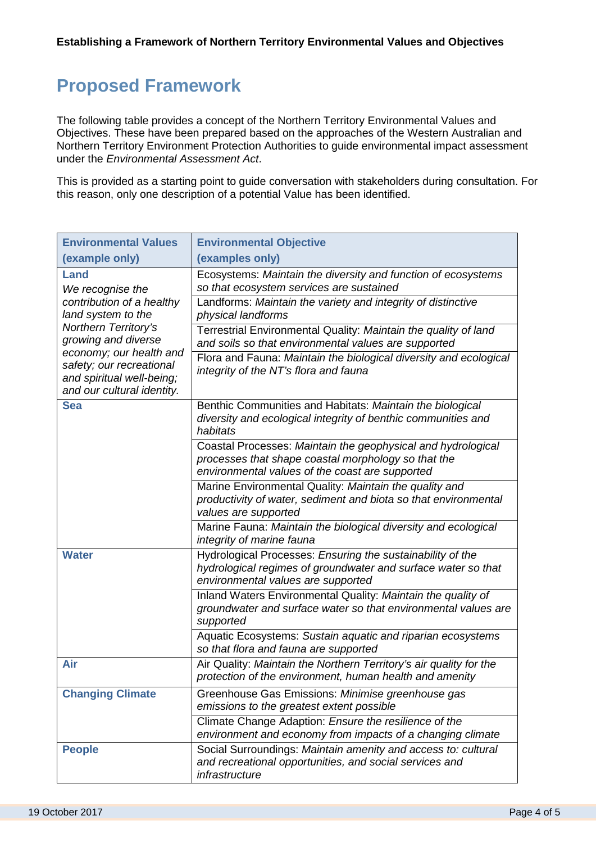### **Proposed Framework**

The following table provides a concept of the Northern Territory Environmental Values and Objectives. These have been prepared based on the approaches of the Western Australian and Northern Territory Environment Protection Authorities to guide environmental impact assessment under the *Environmental Assessment Act*.

This is provided as a starting point to guide conversation with stakeholders during consultation. For this reason, only one description of a potential Value has been identified.

| <b>Environmental Values</b>                                                                                                                                                                                                                  | <b>Environmental Objective</b>                                                                                                                                         |
|----------------------------------------------------------------------------------------------------------------------------------------------------------------------------------------------------------------------------------------------|------------------------------------------------------------------------------------------------------------------------------------------------------------------------|
| (example only)                                                                                                                                                                                                                               | (examples only)                                                                                                                                                        |
| Land<br>We recognise the<br>contribution of a healthy<br>land system to the<br>Northern Territory's<br>growing and diverse<br>economy; our health and<br>safety; our recreational<br>and spiritual well-being;<br>and our cultural identity. | Ecosystems: Maintain the diversity and function of ecosystems<br>so that ecosystem services are sustained                                                              |
|                                                                                                                                                                                                                                              | Landforms: Maintain the variety and integrity of distinctive<br>physical landforms                                                                                     |
|                                                                                                                                                                                                                                              | Terrestrial Environmental Quality: Maintain the quality of land<br>and soils so that environmental values are supported                                                |
|                                                                                                                                                                                                                                              | Flora and Fauna: Maintain the biological diversity and ecological<br>integrity of the NT's flora and fauna                                                             |
| <b>Sea</b>                                                                                                                                                                                                                                   | Benthic Communities and Habitats: Maintain the biological<br>diversity and ecological integrity of benthic communities and<br>habitats                                 |
|                                                                                                                                                                                                                                              | Coastal Processes: Maintain the geophysical and hydrological<br>processes that shape coastal morphology so that the<br>environmental values of the coast are supported |
|                                                                                                                                                                                                                                              | Marine Environmental Quality: Maintain the quality and<br>productivity of water, sediment and biota so that environmental<br>values are supported                      |
|                                                                                                                                                                                                                                              | Marine Fauna: Maintain the biological diversity and ecological<br>integrity of marine fauna                                                                            |
| <b>Water</b>                                                                                                                                                                                                                                 | Hydrological Processes: Ensuring the sustainability of the<br>hydrological regimes of groundwater and surface water so that<br>environmental values are supported      |
|                                                                                                                                                                                                                                              | Inland Waters Environmental Quality: Maintain the quality of<br>groundwater and surface water so that environmental values are<br>supported                            |
|                                                                                                                                                                                                                                              | Aquatic Ecosystems: Sustain aquatic and riparian ecosystems<br>so that flora and fauna are supported                                                                   |
| Air                                                                                                                                                                                                                                          | Air Quality: Maintain the Northern Territory's air quality for the<br>protection of the environment, human health and amenity                                          |
| <b>Changing Climate</b>                                                                                                                                                                                                                      | Greenhouse Gas Emissions: Minimise greenhouse gas<br>emissions to the greatest extent possible                                                                         |
|                                                                                                                                                                                                                                              | Climate Change Adaption: Ensure the resilience of the<br>environment and economy from impacts of a changing climate                                                    |
| <b>People</b>                                                                                                                                                                                                                                | Social Surroundings: Maintain amenity and access to: cultural<br>and recreational opportunities, and social services and<br>infrastructure                             |